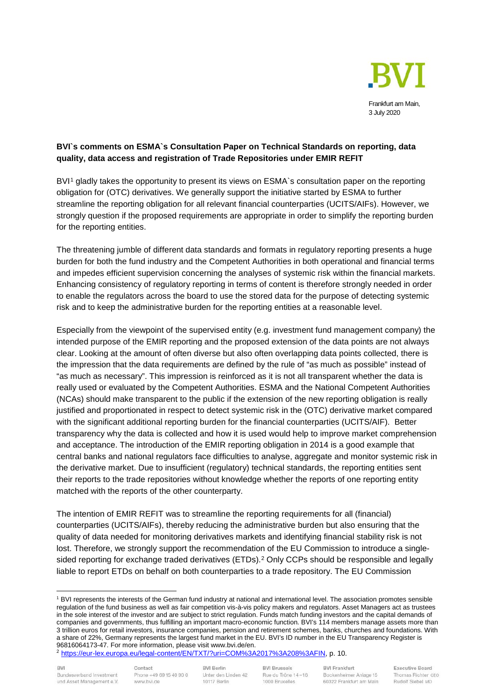

# **BVI`s comments on ESMA`s Consultation Paper on Technical Standards on reporting, data quality, data access and registration of Trade Repositories under EMIR REFIT**

BVI<sup>[1](#page-0-0)</sup> gladly takes the opportunity to present its views on ESMA`s consultation paper on the reporting obligation for (OTC) derivatives. We generally support the initiative started by ESMA to further streamline the reporting obligation for all relevant financial counterparties (UCITS/AIFs). However, we strongly question if the proposed requirements are appropriate in order to simplify the reporting burden for the reporting entities.

The threatening jumble of different data standards and formats in regulatory reporting presents a huge burden for both the fund industry and the Competent Authorities in both operational and financial terms and impedes efficient supervision concerning the analyses of systemic risk within the financial markets. Enhancing consistency of regulatory reporting in terms of content is therefore strongly needed in order to enable the regulators across the board to use the stored data for the purpose of detecting systemic risk and to keep the administrative burden for the reporting entities at a reasonable level.

Especially from the viewpoint of the supervised entity (e.g. investment fund management company) the intended purpose of the EMIR reporting and the proposed extension of the data points are not always clear. Looking at the amount of often diverse but also often overlapping data points collected, there is the impression that the data requirements are defined by the rule of "as much as possible" instead of "as much as necessary". This impression is reinforced as it is not all transparent whether the data is really used or evaluated by the Competent Authorities. ESMA and the National Competent Authorities (NCAs) should make transparent to the public if the extension of the new reporting obligation is really justified and proportionated in respect to detect systemic risk in the (OTC) derivative market compared with the significant additional reporting burden for the financial counterparties (UCITS/AIF). Better transparency why the data is collected and how it is used would help to improve market comprehension and acceptance. The introduction of the EMIR reporting obligation in 2014 is a good example that central banks and national regulators face difficulties to analyse, aggregate and monitor systemic risk in the derivative market. Due to insufficient (regulatory) technical standards, the reporting entities sent their reports to the trade repositories without knowledge whether the reports of one reporting entity matched with the reports of the other counterparty.

The intention of EMIR REFIT was to streamline the reporting requirements for all (financial) counterparties (UCITS/AIFs), thereby reducing the administrative burden but also ensuring that the quality of data needed for monitoring derivatives markets and identifying financial stability risk is not lost. Therefore, we strongly support the recommendation of the EU Commission to introduce a single-sided reporting for exchange traded derivatives (ETDs).<sup>[2](#page-0-1)</sup> Only CCPs should be responsible and legally liable to report ETDs on behalf on both counterparties to a trade repository. The EU Commission

<span id="page-0-1"></span><sup>2</sup> [https://eur-lex.europa.eu/legal-content/EN/TXT/?uri=COM%3A2017%3A208%3AFIN,](https://eur-lex.europa.eu/legal-content/EN/TXT/?uri=COM%3A2017%3A208%3AFIN) p. 10.

**BVI Brussels** Rue du Trône 14-16 1000 Bruxelles

<span id="page-0-0"></span><sup>1</sup> BVI represents the interests of the German fund industry at national and international level. The association promotes sensible regulation of the fund business as well as fair competition vis-à-vis policy makers and regulators. Asset Managers act as trustees in the sole interest of the investor and are subject to strict regulation. Funds match funding investors and the capital demands of companies and governments, thus fulfilling an important macro-economic function. BVI's 114 members manage assets more than 3 trillion euros for retail investors, insurance companies, pension and retirement schemes, banks, churches and foundations. With a share of 22%, Germany represents the largest fund market in the EU. BVI's ID number in the EU Transparency Register is 96816064173-47. For more information, please visit www.bvi.de/en.

**BVI Berlin** Unter den Linden 42 10117 Berlin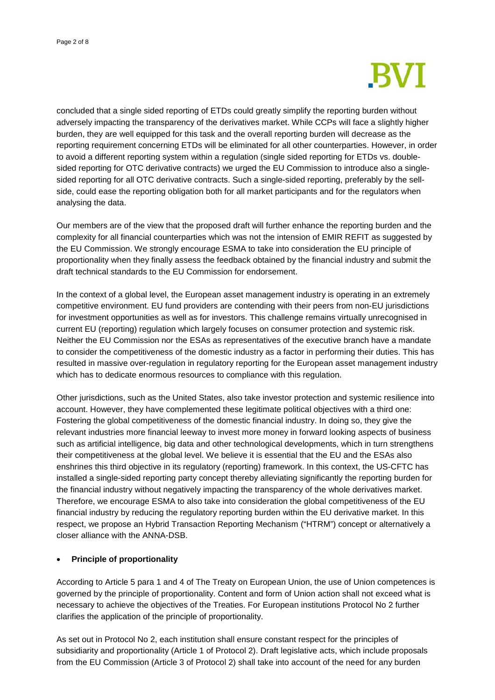

concluded that a single sided reporting of ETDs could greatly simplify the reporting burden without adversely impacting the transparency of the derivatives market. While CCPs will face a slightly higher burden, they are well equipped for this task and the overall reporting burden will decrease as the reporting requirement concerning ETDs will be eliminated for all other counterparties. However, in order to avoid a different reporting system within a regulation (single sided reporting for ETDs vs. doublesided reporting for OTC derivative contracts) we urged the EU Commission to introduce also a singlesided reporting for all OTC derivative contracts. Such a single-sided reporting, preferably by the sellside, could ease the reporting obligation both for all market participants and for the regulators when analysing the data.

Our members are of the view that the proposed draft will further enhance the reporting burden and the complexity for all financial counterparties which was not the intension of EMIR REFIT as suggested by the EU Commission. We strongly encourage ESMA to take into consideration the EU principle of proportionality when they finally assess the feedback obtained by the financial industry and submit the draft technical standards to the EU Commission for endorsement.

In the context of a global level, the European asset management industry is operating in an extremely competitive environment. EU fund providers are contending with their peers from non-EU jurisdictions for investment opportunities as well as for investors. This challenge remains virtually unrecognised in current EU (reporting) regulation which largely focuses on consumer protection and systemic risk. Neither the EU Commission nor the ESAs as representatives of the executive branch have a mandate to consider the competitiveness of the domestic industry as a factor in performing their duties. This has resulted in massive over-regulation in regulatory reporting for the European asset management industry which has to dedicate enormous resources to compliance with this regulation.

Other jurisdictions, such as the United States, also take investor protection and systemic resilience into account. However, they have complemented these legitimate political objectives with a third one: Fostering the global competitiveness of the domestic financial industry. In doing so, they give the relevant industries more financial leeway to invest more money in forward looking aspects of business such as artificial intelligence, big data and other technological developments, which in turn strengthens their competitiveness at the global level. We believe it is essential that the EU and the ESAs also enshrines this third objective in its regulatory (reporting) framework. In this context, the US-CFTC has installed a single-sided reporting party concept thereby alleviating significantly the reporting burden for the financial industry without negatively impacting the transparency of the whole derivatives market. Therefore, we encourage ESMA to also take into consideration the global competitiveness of the EU financial industry by reducing the regulatory reporting burden within the EU derivative market. In this respect, we propose an Hybrid Transaction Reporting Mechanism ("HTRM") concept or alternatively a closer alliance with the ANNA-DSB.

## • **Principle of proportionality**

According to Article 5 para 1 and 4 of The Treaty on European Union, the use of Union competences is governed by the principle of proportionality. Content and form of Union action shall not exceed what is necessary to achieve the objectives of the Treaties. For European institutions Protocol No 2 further clarifies the application of the principle of proportionality.

As set out in Protocol No 2, each institution shall ensure constant respect for the principles of subsidiarity and proportionality (Article 1 of Protocol 2). Draft legislative acts, which include proposals from the EU Commission (Article 3 of Protocol 2) shall take into account of the need for any burden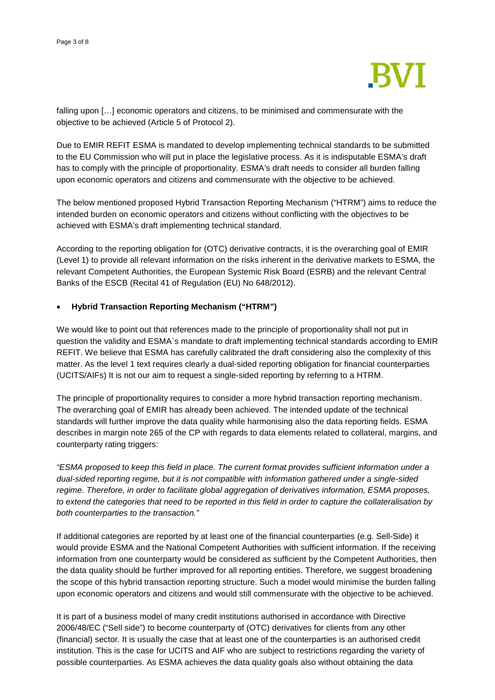

falling upon […] economic operators and citizens, to be minimised and commensurate with the objective to be achieved (Article 5 of Protocol 2).

Due to EMIR REFIT ESMA is mandated to develop implementing technical standards to be submitted to the EU Commission who will put in place the legislative process. As it is indisputable ESMA's draft has to comply with the principle of proportionality. ESMA's draft needs to consider all burden falling upon economic operators and citizens and commensurate with the objective to be achieved.

The below mentioned proposed Hybrid Transaction Reporting Mechanism ("HTRM") aims to reduce the intended burden on economic operators and citizens without conflicting with the objectives to be achieved with ESMA's draft implementing technical standard.

According to the reporting obligation for (OTC) derivative contracts, it is the overarching goal of EMIR (Level 1) to provide all relevant information on the risks inherent in the derivative markets to ESMA, the relevant Competent Authorities, the European Systemic Risk Board (ESRB) and the relevant Central Banks of the ESCB (Recital 41 of Regulation (EU) No 648/2012).

## • **Hybrid Transaction Reporting Mechanism ("HTRM")**

We would like to point out that references made to the principle of proportionality shall not put in question the validity and ESMA`s mandate to draft implementing technical standards according to EMIR REFIT. We believe that ESMA has carefully calibrated the draft considering also the complexity of this matter. As the level 1 text requires clearly a dual-sided reporting obligation for financial counterparties (UCITS/AIFs) It is not our aim to request a single-sided reporting by referring to a HTRM.

The principle of proportionality requires to consider a more hybrid transaction reporting mechanism. The overarching goal of EMIR has already been achieved. The intended update of the technical standards will further improve the data quality while harmonising also the data reporting fields. ESMA describes in margin note 265 of the CP with regards to data elements related to collateral, margins, and counterparty rating triggers:

*"ESMA proposed to keep this field in place. The current format provides sufficient information under a dual-sided reporting regime, but it is not compatible with information gathered under a single-sided regime. Therefore, in order to facilitate global aggregation of derivatives information, ESMA proposes, to extend the categories that need to be reported in this field in order to capture the collateralisation by both counterparties to the transaction."* 

If additional categories are reported by at least one of the financial counterparties (e.g. Sell-Side) it would provide ESMA and the National Competent Authorities with sufficient information. If the receiving information from one counterparty would be considered as sufficient by the Competent Authorities, then the data quality should be further improved for all reporting entities. Therefore, we suggest broadening the scope of this hybrid transaction reporting structure. Such a model would minimise the burden falling upon economic operators and citizens and would still commensurate with the objective to be achieved.

It is part of a business model of many credit institutions authorised in accordance with Directive 2006/48/EC ("Sell side") to become counterparty of (OTC) derivatives for clients from any other (financial) sector. It is usually the case that at least one of the counterparties is an authorised credit institution. This is the case for UCITS and AIF who are subject to restrictions regarding the variety of possible counterparties. As ESMA achieves the data quality goals also without obtaining the data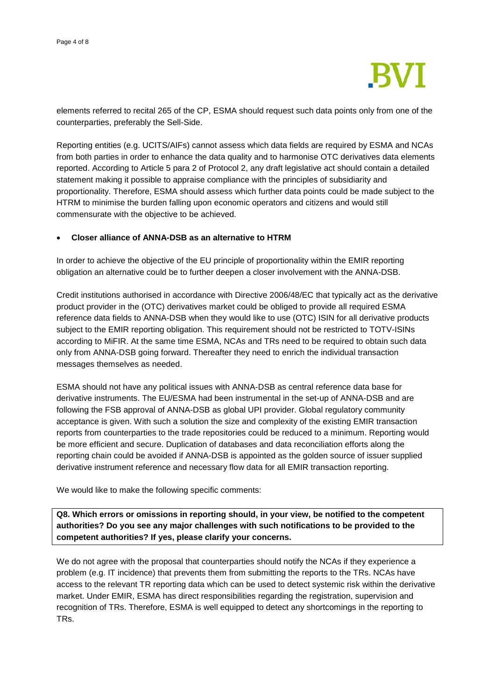

elements referred to recital 265 of the CP, ESMA should request such data points only from one of the counterparties, preferably the Sell-Side.

Reporting entities (e.g. UCITS/AIFs) cannot assess which data fields are required by ESMA and NCAs from both parties in order to enhance the data quality and to harmonise OTC derivatives data elements reported. According to Article 5 para 2 of Protocol 2, any draft legislative act should contain a detailed statement making it possible to appraise compliance with the principles of subsidiarity and proportionality. Therefore, ESMA should assess which further data points could be made subject to the HTRM to minimise the burden falling upon economic operators and citizens and would still commensurate with the objective to be achieved.

### • **Closer alliance of ANNA-DSB as an alternative to HTRM**

In order to achieve the objective of the EU principle of proportionality within the EMIR reporting obligation an alternative could be to further deepen a closer involvement with the ANNA-DSB.

Credit institutions authorised in accordance with Directive 2006/48/EC that typically act as the derivative product provider in the (OTC) derivatives market could be obliged to provide all required ESMA reference data fields to ANNA-DSB when they would like to use (OTC) ISIN for all derivative products subject to the EMIR reporting obligation. This requirement should not be restricted to TOTV-ISINs according to MiFIR. At the same time ESMA, NCAs and TRs need to be required to obtain such data only from ANNA-DSB going forward. Thereafter they need to enrich the individual transaction messages themselves as needed.

ESMA should not have any political issues with ANNA-DSB as central reference data base for derivative instruments. The EU/ESMA had been instrumental in the set-up of ANNA-DSB and are following the FSB approval of ANNA-DSB as global UPI provider. Global regulatory community acceptance is given. With such a solution the size and complexity of the existing EMIR transaction reports from counterparties to the trade repositories could be reduced to a minimum. Reporting would be more efficient and secure. Duplication of databases and data reconciliation efforts along the reporting chain could be avoided if ANNA-DSB is appointed as the golden source of issuer supplied derivative instrument reference and necessary flow data for all EMIR transaction reporting.

We would like to make the following specific comments:

**Q8. Which errors or omissions in reporting should, in your view, be notified to the competent authorities? Do you see any major challenges with such notifications to be provided to the competent authorities? If yes, please clarify your concerns.**

We do not agree with the proposal that counterparties should notify the NCAs if they experience a problem (e.g. IT incidence) that prevents them from submitting the reports to the TRs. NCAs have access to the relevant TR reporting data which can be used to detect systemic risk within the derivative market. Under EMIR, ESMA has direct responsibilities regarding the registration, supervision and recognition of TRs. Therefore, ESMA is well equipped to detect any shortcomings in the reporting to TRs.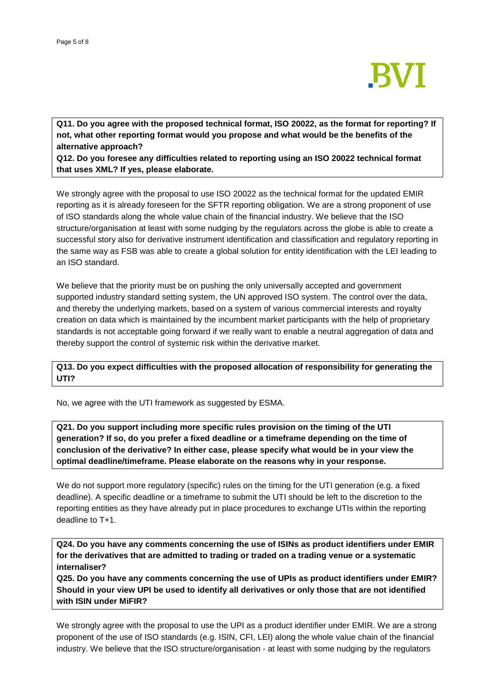

**Q11. Do you agree with the proposed technical format, ISO 20022, as the format for reporting? If not, what other reporting format would you propose and what would be the benefits of the alternative approach?**

**Q12. Do you foresee any difficulties related to reporting using an ISO 20022 technical format that uses XML? If yes, please elaborate.**

We strongly agree with the proposal to use ISO 20022 as the technical format for the updated EMIR reporting as it is already foreseen for the SFTR reporting obligation. We are a strong proponent of use of ISO standards along the whole value chain of the financial industry. We believe that the ISO structure/organisation at least with some nudging by the regulators across the globe is able to create a successful story also for derivative instrument identification and classification and regulatory reporting in the same way as FSB was able to create a global solution for entity identification with the LEI leading to an ISO standard.

We believe that the priority must be on pushing the only universally accepted and government supported industry standard setting system, the UN approved ISO system. The control over the data, and thereby the underlying markets, based on a system of various commercial interests and royalty creation on data which is maintained by the incumbent market participants with the help of proprietary standards is not acceptable going forward if we really want to enable a neutral aggregation of data and thereby support the control of systemic risk within the derivative market.

**Q13. Do you expect difficulties with the proposed allocation of responsibility for generating the UTI?**

No, we agree with the UTI framework as suggested by ESMA.

**Q21. Do you support including more specific rules provision on the timing of the UTI generation? If so, do you prefer a fixed deadline or a timeframe depending on the time of conclusion of the derivative? In either case, please specify what would be in your view the optimal deadline/timeframe. Please elaborate on the reasons why in your response.**

We do not support more regulatory (specific) rules on the timing for the UTI generation (e.g. a fixed deadline). A specific deadline or a timeframe to submit the UTI should be left to the discretion to the reporting entities as they have already put in place procedures to exchange UTIs within the reporting deadline to T+1.

**Q24. Do you have any comments concerning the use of ISINs as product identifiers under EMIR for the derivatives that are admitted to trading or traded on a trading venue or a systematic internaliser?**

**Q25. Do you have any comments concerning the use of UPIs as product identifiers under EMIR? Should in your view UPI be used to identify all derivatives or only those that are not identified with ISIN under MiFIR?** 

We strongly agree with the proposal to use the UPI as a product identifier under EMIR. We are a strong proponent of the use of ISO standards (e.g. ISIN, CFI, LEI) along the whole value chain of the financial industry. We believe that the ISO structure/organisation - at least with some nudging by the regulators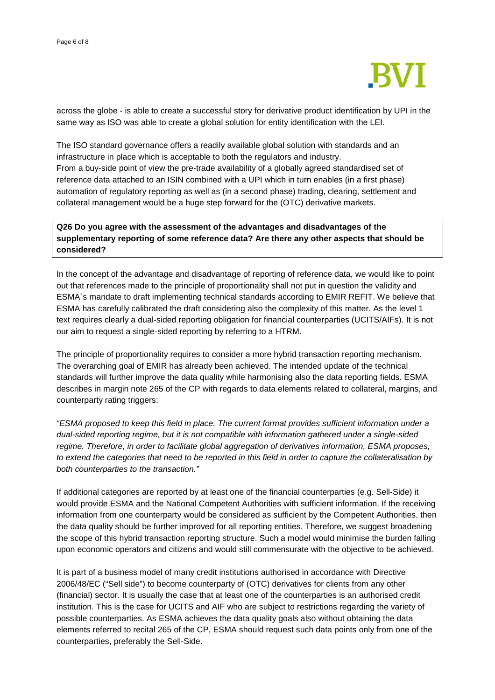

across the globe - is able to create a successful story for derivative product identification by UPI in the same way as ISO was able to create a global solution for entity identification with the LEI.

The ISO standard governance offers a readily available global solution with standards and an infrastructure in place which is acceptable to both the regulators and industry. From a buy-side point of view the pre-trade availability of a globally agreed standardised set of reference data attached to an ISIN combined with a UPI which in turn enables (in a first phase) automation of regulatory reporting as well as (in a second phase) trading, clearing, settlement and collateral management would be a huge step forward for the (OTC) derivative markets.

**Q26 Do you agree with the assessment of the advantages and disadvantages of the supplementary reporting of some reference data? Are there any other aspects that should be considered?**

In the concept of the advantage and disadvantage of reporting of reference data, we would like to point out that references made to the principle of proportionality shall not put in question the validity and ESMA`s mandate to draft implementing technical standards according to EMIR REFIT. We believe that ESMA has carefully calibrated the draft considering also the complexity of this matter. As the level 1 text requires clearly a dual-sided reporting obligation for financial counterparties (UCITS/AIFs). It is not our aim to request a single-sided reporting by referring to a HTRM.

The principle of proportionality requires to consider a more hybrid transaction reporting mechanism. The overarching goal of EMIR has already been achieved. The intended update of the technical standards will further improve the data quality while harmonising also the data reporting fields. ESMA describes in margin note 265 of the CP with regards to data elements related to collateral, margins, and counterparty rating triggers:

*"ESMA proposed to keep this field in place. The current format provides sufficient information under a dual-sided reporting regime, but it is not compatible with information gathered under a single-sided regime. Therefore, in order to facilitate global aggregation of derivatives information, ESMA proposes, to extend the categories that need to be reported in this field in order to capture the collateralisation by both counterparties to the transaction."* 

If additional categories are reported by at least one of the financial counterparties (e.g. Sell-Side) it would provide ESMA and the National Competent Authorities with sufficient information. If the receiving information from one counterparty would be considered as sufficient by the Competent Authorities, then the data quality should be further improved for all reporting entities. Therefore, we suggest broadening the scope of this hybrid transaction reporting structure. Such a model would minimise the burden falling upon economic operators and citizens and would still commensurate with the objective to be achieved.

It is part of a business model of many credit institutions authorised in accordance with Directive 2006/48/EC ("Sell side") to become counterparty of (OTC) derivatives for clients from any other (financial) sector. It is usually the case that at least one of the counterparties is an authorised credit institution. This is the case for UCITS and AIF who are subject to restrictions regarding the variety of possible counterparties. As ESMA achieves the data quality goals also without obtaining the data elements referred to recital 265 of the CP, ESMA should request such data points only from one of the counterparties, preferably the Sell-Side.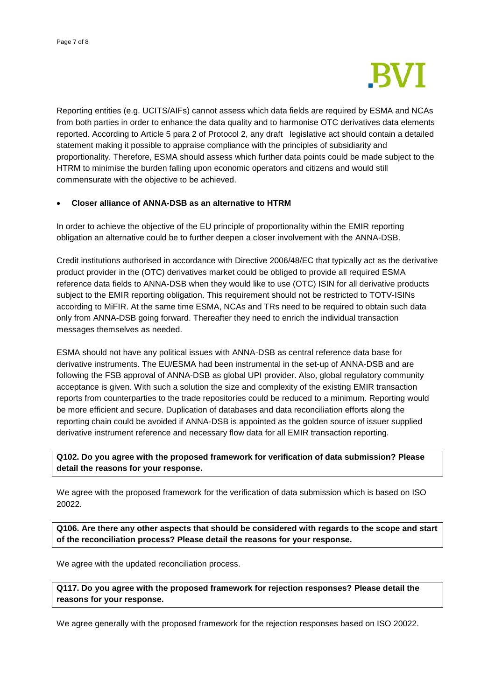

Reporting entities (e.g. UCITS/AIFs) cannot assess which data fields are required by ESMA and NCAs from both parties in order to enhance the data quality and to harmonise OTC derivatives data elements reported. According to Article 5 para 2 of Protocol 2, any draft legislative act should contain a detailed statement making it possible to appraise compliance with the principles of subsidiarity and proportionality. Therefore, ESMA should assess which further data points could be made subject to the HTRM to minimise the burden falling upon economic operators and citizens and would still commensurate with the objective to be achieved.

## • **Closer alliance of ANNA-DSB as an alternative to HTRM**

In order to achieve the objective of the EU principle of proportionality within the EMIR reporting obligation an alternative could be to further deepen a closer involvement with the ANNA-DSB.

Credit institutions authorised in accordance with Directive 2006/48/EC that typically act as the derivative product provider in the (OTC) derivatives market could be obliged to provide all required ESMA reference data fields to ANNA-DSB when they would like to use (OTC) ISIN for all derivative products subject to the EMIR reporting obligation. This requirement should not be restricted to TOTV-ISINs according to MiFIR. At the same time ESMA, NCAs and TRs need to be required to obtain such data only from ANNA-DSB going forward. Thereafter they need to enrich the individual transaction messages themselves as needed.

ESMA should not have any political issues with ANNA-DSB as central reference data base for derivative instruments. The EU/ESMA had been instrumental in the set-up of ANNA-DSB and are following the FSB approval of ANNA-DSB as global UPI provider. Also, global regulatory community acceptance is given. With such a solution the size and complexity of the existing EMIR transaction reports from counterparties to the trade repositories could be reduced to a minimum. Reporting would be more efficient and secure. Duplication of databases and data reconciliation efforts along the reporting chain could be avoided if ANNA-DSB is appointed as the golden source of issuer supplied derivative instrument reference and necessary flow data for all EMIR transaction reporting.

**Q102. Do you agree with the proposed framework for verification of data submission? Please detail the reasons for your response.**

We agree with the proposed framework for the verification of data submission which is based on ISO 20022.

**Q106. Are there any other aspects that should be considered with regards to the scope and start of the reconciliation process? Please detail the reasons for your response.**

We agree with the updated reconciliation process.

**Q117. Do you agree with the proposed framework for rejection responses? Please detail the reasons for your response.**

We agree generally with the proposed framework for the rejection responses based on ISO 20022.